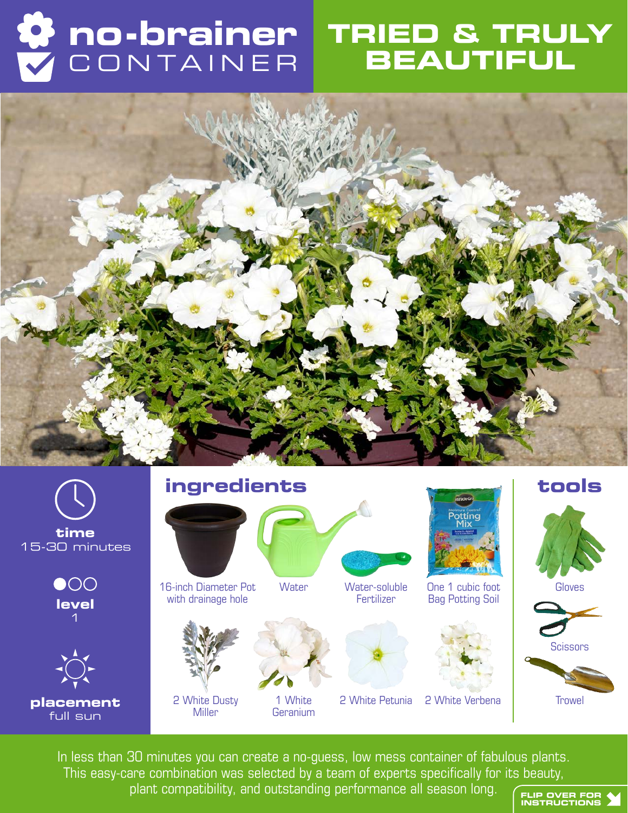## **no-brainer** CONTAINER

### **TRIED & TRULY BEAUTIFUL**





In less than 30 minutes you can create a no-guess, low mess container of fabulous plants. This easy-care combination was selected by a team of experts specifically for its beauty, plant compatibility, and outstanding performance all season long. FLIP OVER FOR **Y** 



**Trowel**